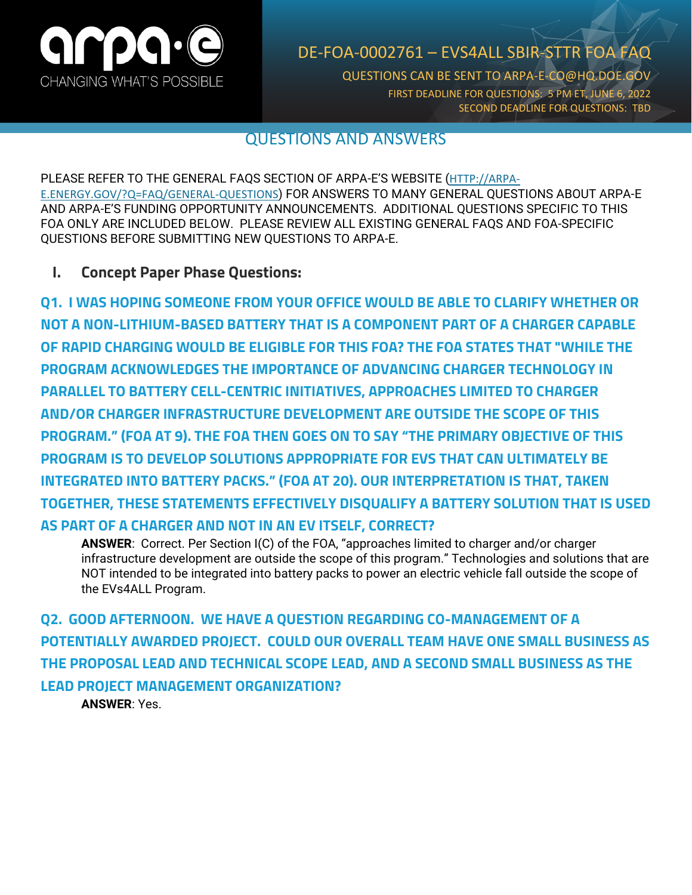

## DE-FOA-0002761 – EVS4ALL SBIR-STTR FOA FAQ

QUESTIONS CAN BE SENT TO ARPA-E-CO@HQ.DOE.GOV FIRST DEADLINE FOR QUESTIONS: 5 PM ET, JUNE 6, 2022 SECOND DEADLINE FOR QUESTIONS: TBD

## QUESTIONS AND ANSWERS

PLEASE REFER TO THE GENERAL FAQS SECTION OF ARPA-E'S WEBSITE ([HTTP://ARPA-](http://arpa-e.energy.gov/?Q=FAQ/GENERAL-QUESTIONS)[E.ENERGY.GOV/?Q=FAQ/GENERAL-QUESTIONS](http://arpa-e.energy.gov/?Q=FAQ/GENERAL-QUESTIONS)) FOR ANSWERS TO MANY GENERAL QUESTIONS ABOUT ARPA-E AND ARPA-E'S FUNDING OPPORTUNITY ANNOUNCEMENTS. ADDITIONAL QUESTIONS SPECIFIC TO THIS FOA ONLY ARE INCLUDED BELOW. PLEASE REVIEW ALL EXISTING GENERAL FAQS AND FOA-SPECIFIC QUESTIONS BEFORE SUBMITTING NEW QUESTIONS TO ARPA-E.

## **I. Concept Paper Phase Questions:**

**Q1. I WAS HOPING SOMEONE FROM YOUR OFFICE WOULD BE ABLE TO CLARIFY WHETHER OR NOT A NON-LITHIUM-BASED BATTERY THAT IS A COMPONENT PART OF A CHARGER CAPABLE OF RAPID CHARGING WOULD BE ELIGIBLE FOR THIS FOA? THE FOA STATES THAT "WHILE THE PROGRAM ACKNOWLEDGES THE IMPORTANCE OF ADVANCING CHARGER TECHNOLOGY IN PARALLEL TO BATTERY CELL-CENTRIC INITIATIVES, APPROACHES LIMITED TO CHARGER AND/OR CHARGER INFRASTRUCTURE DEVELOPMENT ARE OUTSIDE THE SCOPE OF THIS PROGRAM." (FOA AT 9). THE FOA THEN GOES ON TO SAY "THE PRIMARY OBJECTIVE OF THIS PROGRAM IS TO DEVELOP SOLUTIONS APPROPRIATE FOR EVS THAT CAN ULTIMATELY BE INTEGRATED INTO BATTERY PACKS." (FOA AT 20). OUR INTERPRETATION IS THAT, TAKEN TOGETHER, THESE STATEMENTS EFFECTIVELY DISQUALIFY A BATTERY SOLUTION THAT IS USED AS PART OF A CHARGER AND NOT IN AN EV ITSELF, CORRECT?**

**ANSWER**: Correct. Per Section I(C) of the FOA, "approaches limited to charger and/or charger infrastructure development are outside the scope of this program." Technologies and solutions that are NOT intended to be integrated into battery packs to power an electric vehicle fall outside the scope of the EVs4ALL Program.

**Q2. GOOD AFTERNOON. WE HAVE A QUESTION REGARDING CO-MANAGEMENT OF A POTENTIALLY AWARDED PROJECT. COULD OUR OVERALL TEAM HAVE ONE SMALL BUSINESS AS THE PROPOSAL LEAD AND TECHNICAL SCOPE LEAD, AND A SECOND SMALL BUSINESS AS THE LEAD PROJECT MANAGEMENT ORGANIZATION?**

**ANSWER**: Yes.